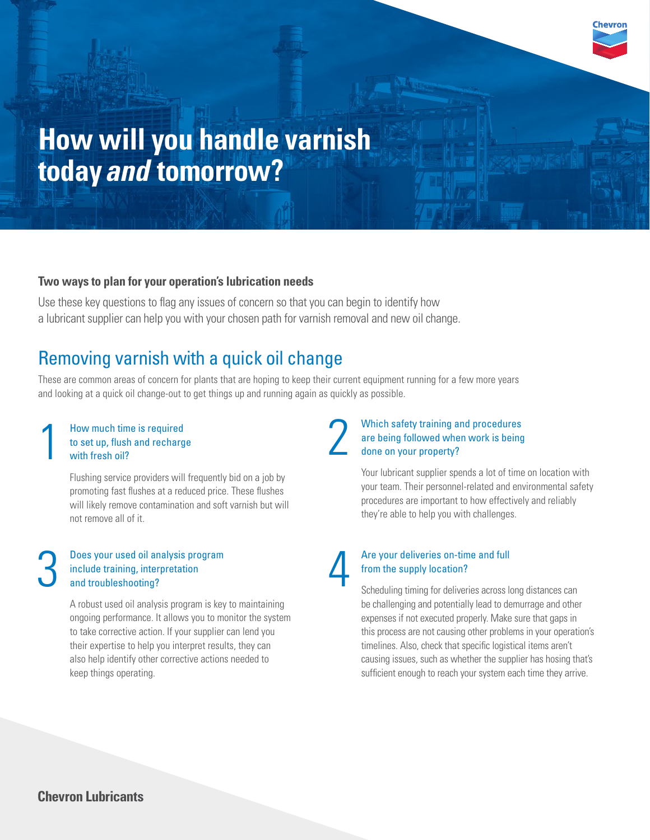

# **How will you handle varnish today** *and* **tomorrow?**

## **Two ways to plan for your operation's lubrication needs**

Use these key questions to flag any issues of concern so that you can begin to identify how a lubricant supplier can help you with your chosen path for varnish removal and new oil change.

## Removing varnish with a quick oil change

These are common areas of concern for plants that are hoping to keep their current equipment running for a few more years and looking at a quick oil change-out to get things up and running again as quickly as possible.

## 1 How much time is required<br>to set up, flush and recharg<br>with fresh oil? to set up, flush and recharge with fresh oil?

Flushing service providers will frequently bid on a job by promoting fast flushes at a reduced price. These flushes will likely remove contamination and soft varnish but will not remove all of it.

#### Does your used oil analysis program include training, interpretation and troubleshooting?

A robust used oil analysis program is key to maintaining ongoing performance. It allows you to monitor the system to take corrective action. If your supplier can lend you their expertise to help you interpret results, they can also help identify other corrective actions needed to keep things operating.

#### Which safety training and procedures are being followed when work is being done on your property? 2

Your lubricant supplier spends a lot of time on location with your team. Their personnel-related and environmental safety procedures are important to how effectively and reliably they're able to help you with challenges.



## Are your deliveries on-time and full<br>
from the supply location?<br>
Scheduling timing for deliveries across long distances can from the supply location?

be challenging and potentially lead to demurrage and other expenses if not executed properly. Make sure that gaps in this process are not causing other problems in your operation's timelines. Also, check that specific logistical items aren't causing issues, such as whether the supplier has hosing that's sufficient enough to reach your system each time they arrive.